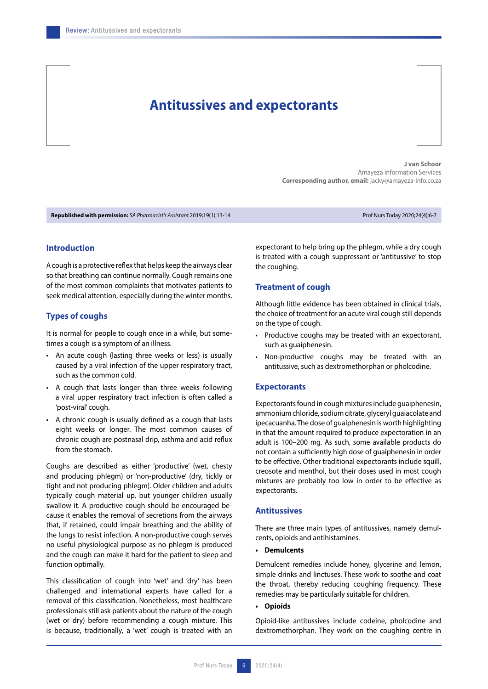# **Antitussives and expectorants**

**J van Schoor** Amayeza Information Services **Corresponding author, email:** jacky@amayeza-info.co.za

**Republished with permission:** *SA Pharmacist's Assistant* 2019;19(1):13-14 Prof Nurs Today 2020;24(4):6-7

# **Introduction**

A cough is a protective reflex that helps keep the airways clear so that breathing can continue normally. Cough remains one of the most common complaints that motivates patients to seek medical attention, especially during the winter months.

#### **Types of coughs**

It is normal for people to cough once in a while, but sometimes a cough is a symptom of an illness.

- An acute cough (lasting three weeks or less) is usually caused by a viral infection of the upper respiratory tract, such as the common cold.
- A cough that lasts longer than three weeks following a viral upper respiratory tract infection is often called a 'post-viral' cough.
- A chronic cough is usually defined as a cough that lasts eight weeks or longer. The most common causes of chronic cough are postnasal drip, asthma and acid reflux from the stomach.

Coughs are described as either 'productive' (wet, chesty and producing phlegm) or 'non-productive' (dry, tickly or tight and not producing phlegm). Older children and adults typically cough material up, but younger children usually swallow it. A productive cough should be encouraged because it enables the removal of secretions from the airways that, if retained, could impair breathing and the ability of the lungs to resist infection. A non-productive cough serves no useful physiological purpose as no phlegm is produced and the cough can make it hard for the patient to sleep and function optimally.

This classification of cough into 'wet' and 'dry' has been challenged and international experts have called for a removal of this classification. Nonetheless, most healthcare professionals still ask patients about the nature of the cough (wet or dry) before recommending a cough mixture. This is because, traditionally, a 'wet' cough is treated with an

expectorant to help bring up the phlegm, while a dry cough is treated with a cough suppressant or 'antitussive' to stop the coughing.

# **Treatment of cough**

Although little evidence has been obtained in clinical trials, the choice of treatment for an acute viral cough still depends on the type of cough.

- Productive coughs may be treated with an expectorant, such as guaiphenesin.
- Non-productive coughs may be treated with an antitussive, such as dextromethorphan or pholcodine.

#### **Expectorants**

Expectorants found in cough mixtures include guaiphenesin, ammonium chloride, sodium citrate, glyceryl guaiacolate and ipecacuanha. The dose of guaiphenesin is worth highlighting in that the amount required to produce expectoration in an adult is 100–200 mg. As such, some available products do not contain a sufficiently high dose of guaiphenesin in order to be effective. Other traditional expectorants include squill, creosote and menthol, but their doses used in most cough mixtures are probably too low in order to be effective as expectorants.

## **Antitussives**

There are three main types of antitussives, namely demulcents, opioids and antihistamines.

**• Demulcents**

Demulcent remedies include honey, glycerine and lemon, simple drinks and linctuses. These work to soothe and coat the throat, thereby reducing coughing frequency. These remedies may be particularly suitable for children.

**• Opioids**

Opioid-like antitussives include codeine, pholcodine and dextromethorphan. They work on the coughing centre in